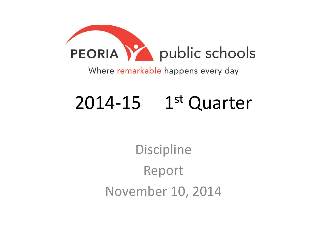

Where remarkable happens every day

## $2014-15$  1st Quarter

**Discipline** Report November 10, 2014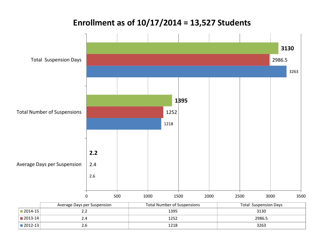## 2.6 1218 3263 2.4 1252 2986.5 **2.2 1395 3130** 0 500 1000 1500 2000 2500 3000 3500 Average Days per Suspension Total Number of Suspensions Total Suspension Days Average Days per Suspension Total Number of Suspensions Total Suspension Days 2014-15 2.2 1395 3130 2013-14 2.4 2.4 2.986.5 2012-13 2.6 1218 3263 **Enrollment as of 10/17/2014 = 13,527 Students**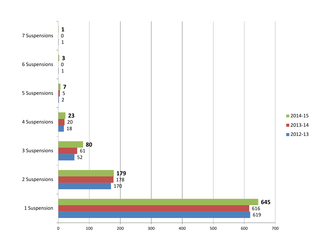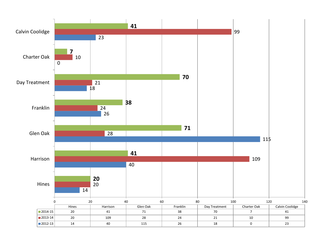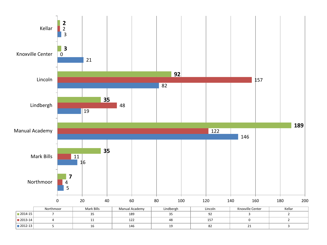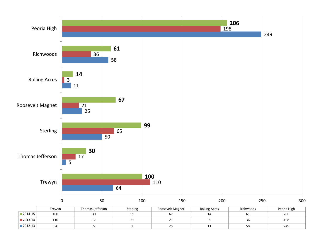

|             | Trewvn | Thomas Jefferson | <b>Sterling</b> | Roosevelt Magnet | <b>Rolling Acres</b> | Richwoods | Peoria High |
|-------------|--------|------------------|-----------------|------------------|----------------------|-----------|-------------|
| $2014 - 15$ | 100    | JU               | --              |                  |                      | ρT        | 206         |
| $2013 - 14$ | 110    |                  | υJ              | <u>_ _</u>       |                      | 50        | 198         |
| ■ 2012-13   | 64     |                  | JU              | ت                | <b>. .</b>           | 58        | 249         |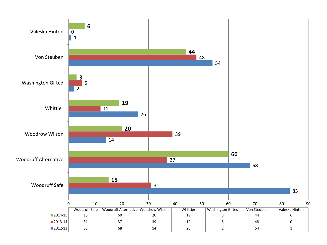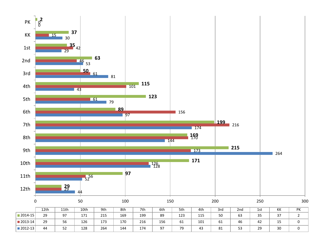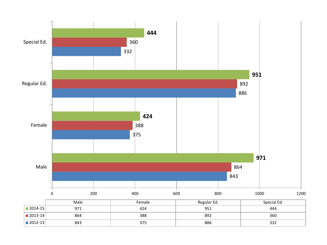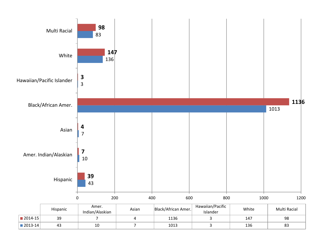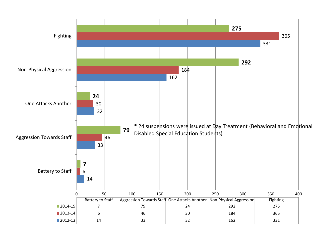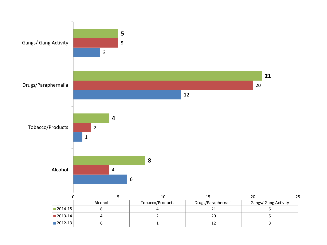![](_page_11_Figure_0.jpeg)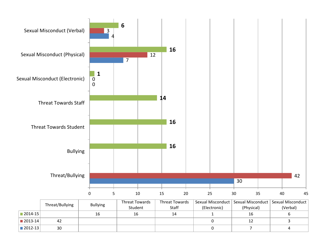![](_page_12_Figure_0.jpeg)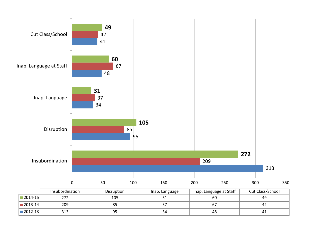![](_page_13_Figure_0.jpeg)

2013-14 209 | 85 | 37 | 67 | 42 2012-13 313 95 34 48 41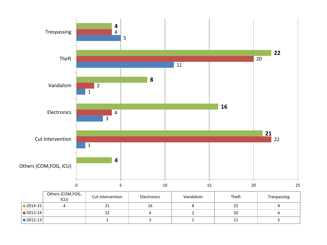![](_page_14_Figure_0.jpeg)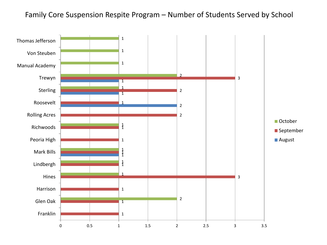## Family Core Suspension Respite Program – Number of Students Served by School

![](_page_15_Figure_1.jpeg)